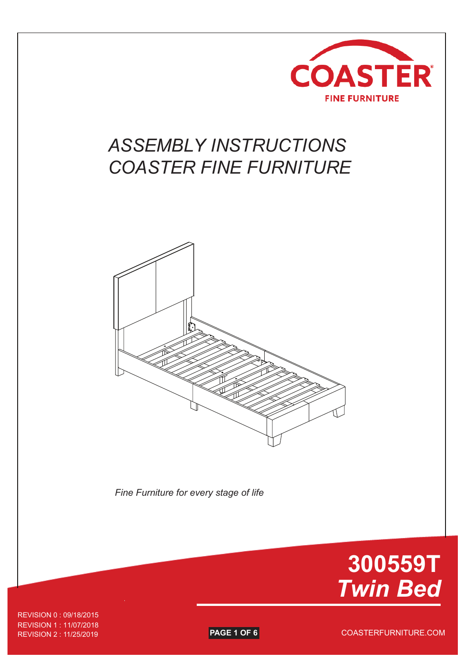

## *ASSEMBLY INSTRUCTIONS COASTER FINE FURNITURE*



*Fine Furniture for every stage of life*



REVISION 1 : 11/07/2018 REVISION 2 : 11/25/2019 REVISION 0 : 09/18/2015

**PAGE 1 OF 6** COASTERFURNITURE.COM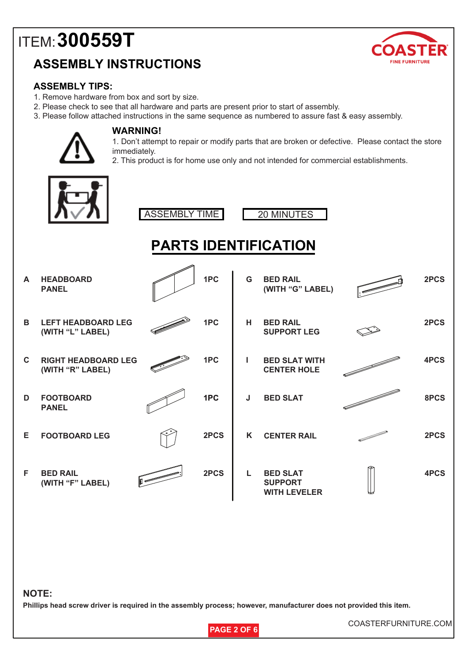### **ASSEMBLY INSTRUCTIONS**



#### **ASSEMBLY TIPS:**

- 1. Remove hardware from box and sort by size.
- 2. Please check to see that all hardware and parts are present prior to start of assembly.
- 3. Please follow attached instructions in the same sequence as numbered to assure fast & easy assembly.



#### **WARNING!**

1. Don't attempt to repair or modify parts that are broken or defective. Please contact the store immediately.

2. This product is for home use only and not intended for commercial establishments.







### **PARTS IDENTIFICATION**

| A           | <b>HEADBOARD</b><br><b>PANEL</b>               |              | 1PC  | G | <b>BED RAIL</b><br>(WITH "G" LABEL)                      | 2PCS |
|-------------|------------------------------------------------|--------------|------|---|----------------------------------------------------------|------|
| B.          | <b>LEFT HEADBOARD LEG</b><br>(WITH "L" LABEL)  |              | 1PC  | н | <b>BED RAIL</b><br><b>SUPPORT LEG</b>                    | 2PCS |
| $\mathbf C$ | <b>RIGHT HEADBOARD LEG</b><br>(WITH "R" LABEL) |              | 1PC  |   | <b>BED SLAT WITH</b><br><b>CENTER HOLE</b>               | 4PCS |
| D           | <b>FOOTBOARD</b><br><b>PANEL</b>               |              | 1PC  | J | <b>BED SLAT</b>                                          | 8PCS |
| Е           | <b>FOOTBOARD LEG</b>                           |              | 2PCS | K | <b>CENTER RAIL</b>                                       | 2PCS |
| F           | <b>BED RAIL</b><br>(WITH "F" LABEL)            | $\mathbb{I}$ | 2PCS | L | <b>BED SLAT</b><br><b>SUPPORT</b><br><b>WITH LEVELER</b> | 4PCS |

#### **NOTE:**

**Phillips head screw driver is required in the assembly process; however, manufacturer does not provided this item.**



COASTERFURNITURE.COM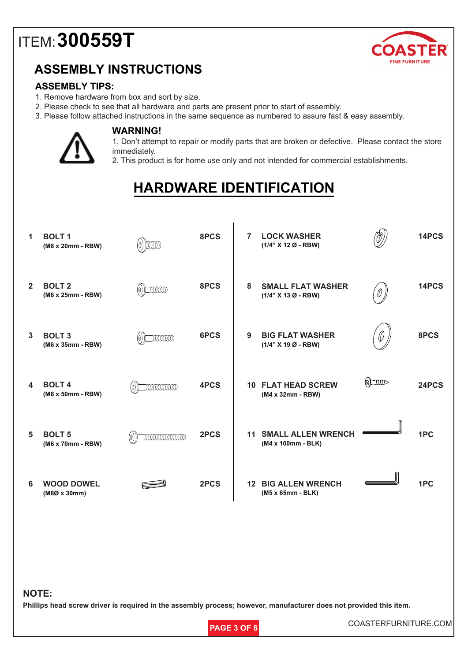

### **ASSEMBLY INSTRUCTIONS**

#### **ASSEMBLY TIPS:**

- 1. Remove hardware from box and sort by size.
- 2. Please check to see that all hardware and parts are present prior to start of assembly.
- 3. Please follow attached instructions in the same sequence as numbered to assure fast & easy assembly.



#### **WARNING!**

1. Don't attempt to repair or modify parts that are broken or defective. Please contact the store immediately.

2. This product is for home use only and not intended for commercial establishments.

## **HARDWARE IDENTIFICATION**

 $\blacksquare$ 

| 1              | <b>BOLT1</b><br>(M8 x 20mm - RBW)  |                               | 8PCS | <b>LOCK WASHER</b><br>$\overline{7}$<br>(1/4" X 12 Ø - RBW) | 14PCS |
|----------------|------------------------------------|-------------------------------|------|-------------------------------------------------------------|-------|
| $\overline{2}$ | <b>BOLT 2</b><br>(M6 x 25mm - RBW) | $\Box$<br>(O)                 | 8PCS | 8<br><b>SMALL FLAT WASHER</b><br>(1/4" X 13 Ø - RBW)        | 14PCS |
| 3              | <b>BOLT 3</b><br>(M6 x 35mm - RBW) | IIIIIIII                      | 6PCS | <b>BIG FLAT WASHER</b><br>9<br>11  <br>(1/4" X 19 Ø - RBW)  | 8PCS  |
| 4              | <b>BOLT4</b><br>(M6 x 50mm - RBW)  | <b>IIIIIIIIIIIIIII</b>        | 4PCS | $\approx$<br><b>10 FLAT HEAD SCREW</b><br>(M4 x 32mm - RBW) | 24PCS |
| 5              | <b>BOLT 5</b><br>(M6 x 70mm - RBW) | <b>IIIIIIIIIIIIIIIIII</b> III | 2PCS | <b>SMALL ALLEN WRENCH</b><br>11<br>(M4 x 100mm - BLK)       | 1PC   |
| 6              | <b>WOOD DOWEL</b><br>(M8Ø x 30mm)  |                               | 2PCS | <b>12 BIG ALLEN WRENCH</b><br>(M5 x 65mm - BLK)             | 1PC   |
|                |                                    |                               |      |                                                             |       |

#### **NOTE:**

**Phillips head screw driver is required in the assembly process; however, manufacturer does not provided this item.**



**PAGE 3 OF 6** COASTERFURNITURE.COM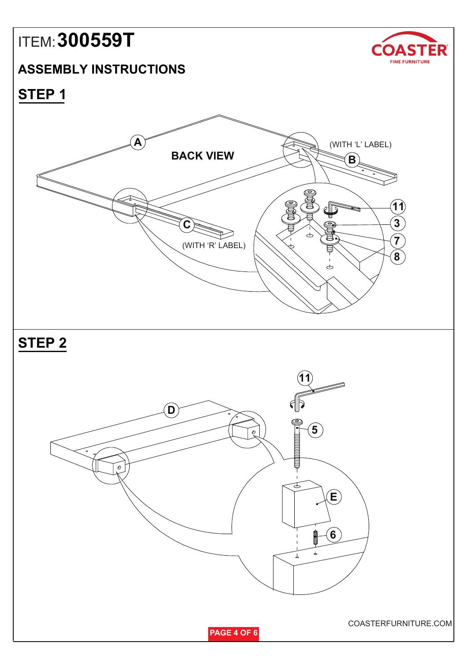### **ASSEMBLY INSTRUCTIONS**



**STEP 1**

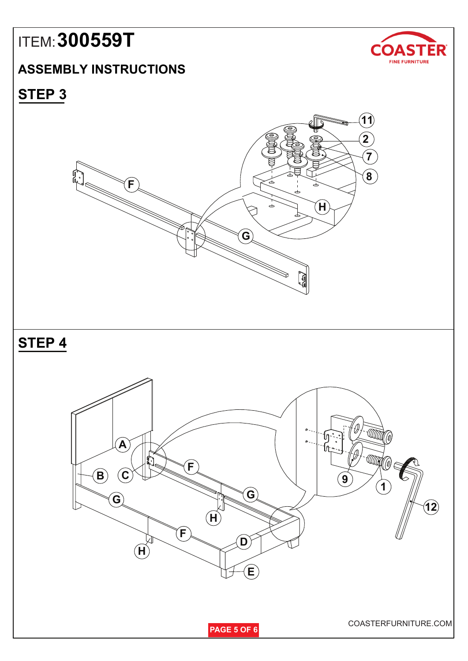### **ASSEMBLY INSTRUCTIONS**



**STEP 3**

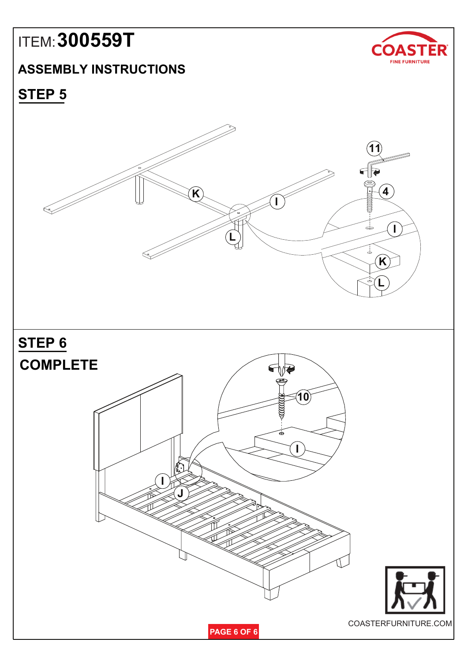### **ASSEMBLY INSTRUCTIONS**



**STEP 5**